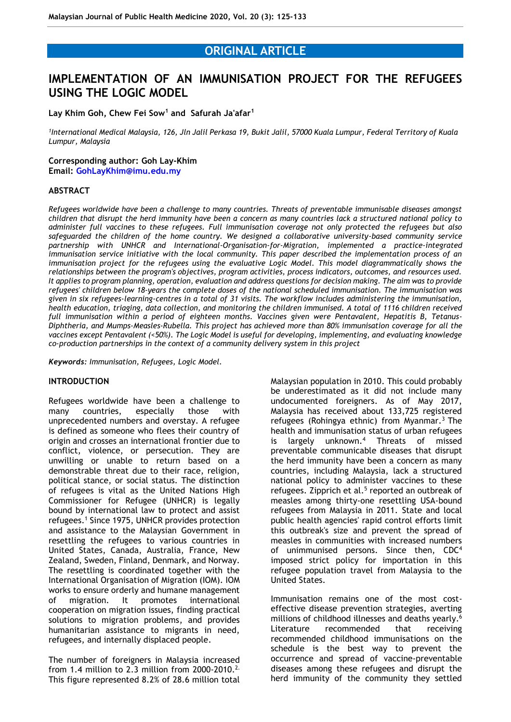# **ORIGINAL ARTICLE**

# **IMPLEMENTATION OF AN IMMUNISATION PROJECT FOR THE REFUGEES USING THE LOGIC MODEL**

## **Lay Khim Goh, Chew Fei Sow<sup>1</sup> and Safurah Ja'afar<sup>1</sup>**

*1 International Medical Malaysia, 126, Jln Jalil Perkasa 19, Bukit Jalil, 57000 Kuala Lumpur, Federal Territory of Kuala Lumpur, Malaysia*

#### **Corresponding author: Goh Lay-Khim**

**Email: [GohLayKhim@imu.edu.my](mailto:GohLayKhim@imu.edu.my)**

#### **ABSTRACT**

*Refugees worldwide have been a challenge to many countries. Threats of preventable immunisable diseases amongst children that disrupt the herd immunity have been a concern as many countries lack a structured national policy to administer full vaccines to these refugees. Full immunisation coverage not only protected the refugees but also safeguarded the children of the home country. We designed a collaborative university-based community service partnership with UNHCR and International-Organisation-for-Migration, implemented a practice-integrated immunisation service initiative with the local community. This paper described the implementation process of an immunisation project for the refugees using the evaluative Logic Model. This model diagrammatically shows the relationships between the program's objectives, program activities, process indicators, outcomes, and resources used. It applies to program planning, operation, evaluation and address questions for decision making. The aim was to provide refugees' children below 18-years the complete doses of the national scheduled immunisation. The immunisation was given in six refugees-learning-centres in a total of 31 visits. The workflow includes administering the immunisation, health education, triaging, data collection, and monitoring the children immunised. A total of 1116 children received full immunisation within a period of eighteen months. Vaccines given were Pentavalent, Hepatitis B, Tetanus-Diphtheria, and Mumps-Measles-Rubella. This project has achieved more than 80% immunisation coverage for all the vaccines except Pentavalent (<50%). The Logic Model is useful for developing, implementing, and evaluating knowledge co-production partnerships in the context of a community delivery system in this project*

*Keywords: Immunisation, Refugees, Logic Model.*

#### **INTRODUCTION**

Refugees worldwide have been a challenge to many countries, especially those with unprecedented numbers and overstay. A refugee is defined as someone who flees their country of origin and crosses an international frontier due to conflict, violence, or persecution. They are unwilling or unable to return based on a demonstrable threat due to their race, religion, political stance, or social status. The distinction of refugees is vital as the United Nations High Commissioner for Refugee (UNHCR) is legally bound by international law to protect and assist refugees.<sup>1</sup> Since 1975, UNHCR provides protection and assistance to the Malaysian Government in resettling the refugees to various countries in United States, Canada, Australia, France, New Zealand, Sweden, Finland, Denmark, and Norway. The resettling is coordinated together with the International Organisation of Migration (IOM). IOM works to ensure orderly and humane management of migration. It promotes international cooperation on migration issues, finding practical solutions to migration problems, and provides humanitarian assistance to migrants in need, refugees, and internally displaced people.

The number of foreigners in Malaysia increased from 1.4 million to 2.3 million from 2000-2010.<sup>2.</sup> This figure represented 8.2% of 28.6 million total Malaysian population in 2010. This could probably be underestimated as it did not include many undocumented foreigners. As of May 2017, Malaysia has received about 133,725 registered refugees (Rohingya ethnic) from Myanmar.<sup>3</sup> The health and immunisation status of urban refugees is largely unknown.<sup>4</sup> Threats of missed preventable communicable diseases that disrupt the herd immunity have been a concern as many countries, including Malaysia, lack a structured national policy to administer vaccines to these refugees. Zipprich et al.<sup>5</sup> reported an outbreak of measles among thirty-one resettling USA-bound refugees from Malaysia in 2011. State and local public health agencies' rapid control efforts limit this outbreak's size and prevent the spread of measles in communities with increased numbers of unimmunised persons. Since then, CDC<sup>4</sup> imposed strict policy for importation in this refugee population travel from Malaysia to the United States.

Immunisation remains one of the most costeffective disease prevention strategies, averting millions of childhood illnesses and deaths yearly.<sup>6</sup> Literature recommended that receiving recommended childhood immunisations on the schedule is the best way to prevent the occurrence and spread of vaccine-preventable diseases among these refugees and disrupt the herd immunity of the community they settled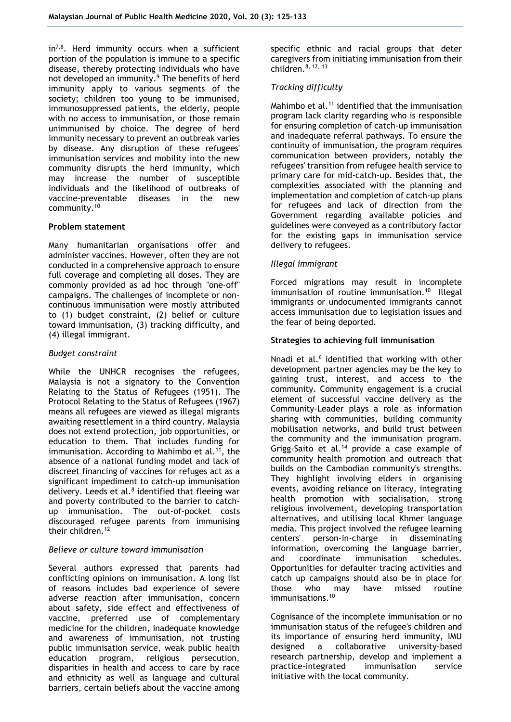in<sup>7,8</sup>. Herd immunity occurs when a sufficient portion of the population is immune to a specific disease, thereby protecting individuals who have not developed an immunity.<sup>9</sup> The benefits of herd immunity apply to various segments of the society; children too young to be immunised, immunosuppressed patients, the elderly, people with no access to immunisation, or those remain unimmunised by choice. The degree of herd immunity necessary to prevent an outbreak varies by disease. Any disruption of these refugees' immunisation services and mobility into the new community disrupts the herd immunity, which may increase the number of susceptible individuals and the likelihood of outbreaks of vaccine-preventable diseases in the new community.<sup>10</sup>

### **Problem statement**

Many humanitarian organisations offer and administer vaccines. However, often they are not conducted in a comprehensive approach to ensure full coverage and completing all doses. They are commonly provided as ad hoc through "one-off" campaigns. The challenges of incomplete or noncontinuous immunisation were mostly attributed to (1) budget constraint, (2) belief or culture toward immunisation, (3) tracking difficulty, and (4) illegal immigrant.

### *Budget constraint*

While the UNHCR recognises the refugees, Malaysia is not a signatory to the Convention Relating to the Status of Refugees (1951). The Protocol Relating to the Status of Refugees (1967) means all refugees are viewed as illegal migrants awaiting resettlement in a third country. Malaysia does not extend protection, job opportunities, or education to them. That includes funding for immunisation. According to Mahimbo et al.<sup>11</sup> <sup>1</sup>, the absence of a national funding model and lack of discreet financing of vaccines for refuges act as a significant impediment to catch-up immunisation delivery. Leeds et al. $8$  identified that fleeing war and poverty contributed to the barrier to catchup immunisation. The out-of-pocket costs discouraged refugee parents from immunising their children.<sup>12</sup>

# *Believe or culture toward immunisation*

Several authors expressed that parents had conflicting opinions on immunisation. A long list of reasons includes bad experience of severe adverse reaction after immunisation, concern about safety, side effect and effectiveness of vaccine, preferred use of complementary medicine for the children, inadequate knowledge and awareness of immunisation, not trusting public immunisation service, weak public health education program, religious persecution, disparities in health and access to care by race and ethnicity as well as language and cultural barriers, certain beliefs about the vaccine among

specific ethnic and racial groups that deter caregivers from initiating immunisation from their children.<sup>8, 12, 13</sup>

# *Tracking difficulty*

Mahimbo et al.<sup>11</sup> identified that the immunisation program lack clarity regarding who is responsible for ensuring completion of catch-up immunisation and inadequate referral pathways. To ensure the continuity of immunisation, the program requires communication between providers, notably the refugees' transition from refugee health service to primary care for mid-catch-up. Besides that, the complexities associated with the planning and implementation and completion of catch-up plans for refugees and lack of direction from the Government regarding available policies and guidelines were conveyed as a contributory factor for the existing gaps in immunisation service delivery to refugees.

### *Illegal immigrant*

Forced migrations may result in incomplete immunisation of routine immunisation.<sup>10</sup> Illegal immigrants or undocumented immigrants cannot access immunisation due to legislation issues and the fear of being deported.

### **Strategies to achieving full immunisation**

Nnadi et al.<sup>6</sup> identified that working with other development partner agencies may be the key to gaining trust, interest, and access to the community. Community engagement is a crucial element of successful vaccine delivery as the Community-Leader plays a role as information sharing with communities, building community mobilisation networks, and build trust between the community and the immunisation program. Grigg-Saito et al.<sup>14</sup> provide a case example of community health promotion and outreach that builds on the Cambodian community's strengths. They highlight involving elders in organising events, avoiding reliance on literacy, integrating health promotion with socialisation, strong religious involvement, developing transportation alternatives, and utilising local Khmer language media. This project involved the refugee learning centers' person-in-charge in disseminating information, overcoming the language barrier, and coordinate immunisation schedules. Opportunities for defaulter tracing activities and catch up campaigns should also be in place for those who may have missed routine immunisations.<sup>10</sup>

Cognisance of the incomplete immunisation or no immunisation status of the refugee's children and its importance of ensuring herd immunity, IMU designed a collaborative university-based research partnership, develop and implement a practice-integrated immunisation service initiative with the local community.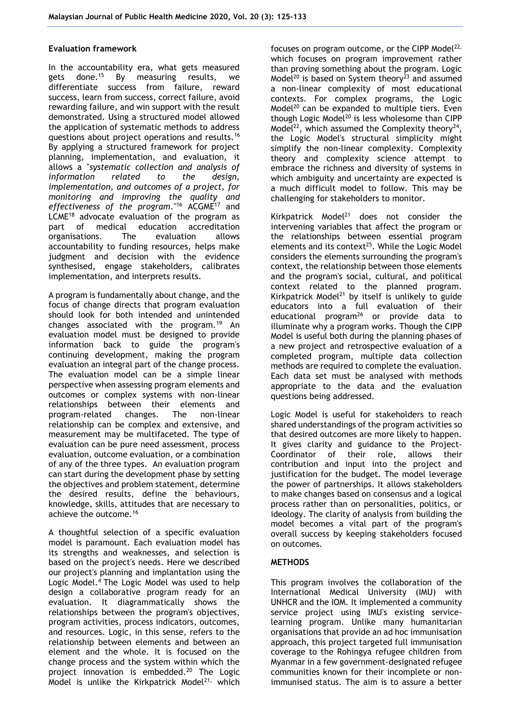#### **Evaluation framework**

In the accountability era, what gets measured gets done.<sup>15</sup> By measuring results, we differentiate success from failure, reward success, learn from success, correct failure, avoid rewarding failure, and win support with the result demonstrated. Using a structured model allowed the application of systematic methods to address questions about project operations and results.<sup>16</sup> By applying a structured framework for project planning, implementation, and evaluation, it allows a "*systematic collection and analysis of information related to the design, implementation, and outcomes of a project, for monitoring and improving the quality and effectiveness of the program*."<sup>16</sup> ACGME<sup>17</sup> and LCME<sup>18</sup> advocate evaluation of the program as part of medical education accreditation organisations. The evaluation allows accountability to funding resources, helps make judgment and decision with the evidence synthesised, engage stakeholders, calibrates implementation, and interprets results.

A program is fundamentally about change, and the focus of change directs that program evaluation should look for both intended and unintended changes associated with the program.<sup>19</sup> An evaluation model must be designed to provide information back to guide the program's continuing development, making the program evaluation an integral part of the change process. The evaluation model can be a simple linear perspective when assessing program elements and outcomes or complex systems with non-linear relationships between their elements and program-related changes. The non-linear relationship can be complex and extensive, and measurement may be multifaceted. The type of evaluation can be pure need assessment, process evaluation, outcome evaluation, or a combination of any of the three types. An evaluation program can start during the development phase by setting the objectives and problem statement, determine the desired results, define the behaviours, knowledge, skills, attitudes that are necessary to achieve the outcome.<sup>16</sup>

A thoughtful selection of a specific evaluation model is paramount. Each evaluation model has its strengths and weaknesses, and selection is based on the project's needs. Here we described our project's planning and implantation using the Logic Model.<sup>4</sup> The Logic Model was used to help design a collaborative program ready for an evaluation. It diagrammatically shows the relationships between the program's objectives, program activities, process indicators, outcomes, and resources. Logic, in this sense, refers to the relationship between elements and between an element and the whole. It is focused on the change process and the system within which the project innovation is embedded.<sup>20</sup> The Logic Model is unlike the Kirkpatrick Model<sup>21,</sup> which

focuses on program outcome, or the CIPP Model $^{22}$ , which focuses on program improvement rather than proving something about the program. Logic Model<sup>20</sup> is based on System theory<sup>23</sup> and assumed a non-linear complexity of most educational contexts. For complex programs, the Logic Model $^{20}$  can be expanded to multiple tiers. Even though Logic Model<sup>20</sup> is less wholesome than CIPP Model<sup>22</sup>, which assumed the Complexity theory<sup>24</sup>, the Logic Model's structural simplicity might simplify the non-linear complexity. Complexity theory and complexity science attempt to embrace the richness and diversity of systems in which ambiguity and uncertainty are expected is a much difficult model to follow. This may be challenging for stakeholders to monitor.

Kirkpatrick Model $^{21}$  does not consider the intervening variables that affect the program or the relationships between essential program elements and its context $25$ . While the Logic Model considers the elements surrounding the program's context, the relationship between those elements and the program's social, cultural, and political context related to the planned program. Kirkpatrick Model<sup>21</sup> by itself is unlikely to guide educators into a full evaluation of their educational program<sup>26</sup> or provide data to illuminate why a program works. Though the CIPP Model is useful both during the planning phases of a new project and retrospective evaluation of a completed program, multiple data collection methods are required to complete the evaluation. Each data set must be analysed with methods appropriate to the data and the evaluation questions being addressed.

Logic Model is useful for stakeholders to reach shared understandings of the program activities so that desired outcomes are more likely to happen. It gives clarity and guidance to the Project-Coordinator of their role, allows their contribution and input into the project and justification for the budget. The model leverage the power of partnerships. It allows stakeholders to make changes based on consensus and a logical process rather than on personalities, politics, or ideology. The clarity of analysis from building the model becomes a vital part of the program's overall success by keeping stakeholders focused on outcomes.

# **METHODS**

This program involves the collaboration of the International Medical University (IMU) with UNHCR and the IOM. It implemented a community service project using IMU's existing servicelearning program. Unlike many humanitarian organisations that provide an ad hoc immunisation approach, this project targeted full immunisation coverage to the Rohingya refugee children from Myanmar in a few government-designated refugee communities known for their incomplete or nonimmunised status. The aim is to assure a better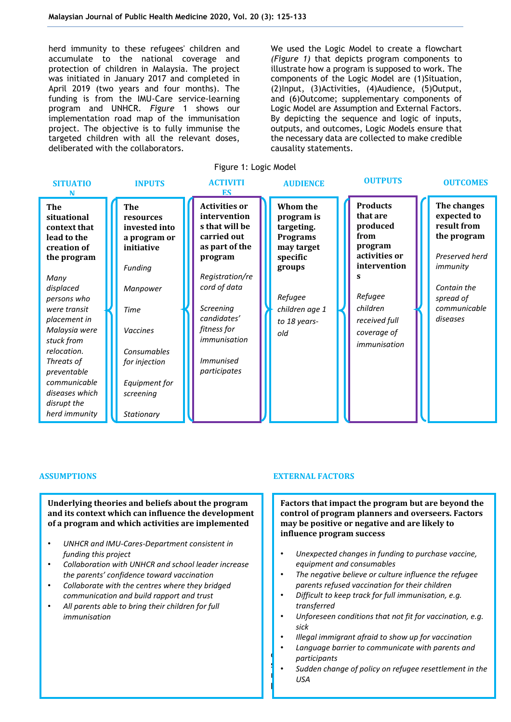herd immunity to these refugees' children and accumulate to the national coverage and protection of children in Malaysia. The project was initiated in January 2017 and completed in April 2019 (two years and four months). The funding is from the IMU-Care service-learning program and UNHCR. *Figure* 1 shows our implementation road map of the immunisation project. The objective is to fully immunise the targeted children with all the relevant doses, deliberated with the collaborators.

We used the Logic Model to create a flowchart *(Figure 1)* that depicts program components to illustrate how a program is supposed to work. The components of the Logic Model are (1)Situation, (2)Input, (3)Activities, (4)Audience, (5)Output, and (6)Outcome; supplementary components of Logic Model are Assumption and External Factors. By depicting the sequence and logic of inputs, outputs, and outcomes, Logic Models ensure that the necessary data are collected to make credible causality statements.



**Underlying theories and beliefs about the program and its context which can influence the development of a program and which activities are implemented**

- *UNHCR and IMU-Cares-Department consistent in funding this project*
- *Collaboration with UNHCR and school leader increase the parents' confidence toward vaccination*
- *Collaborate with the centres where they bridged communication and build rapport and trust*
- *All parents able to bring their children for full immunisation*

#### **ASSUMPTIONS EXTERNAL FACTORS**

**Factors that impact the program but are beyond the control of program planners and overseers. Factors may be positive or negative and are likely to influence program success**

- *Unexpected changes in funding to purchase vaccine, equipment and consumables*
- *The negative believe or culture influence the refugee parents refused vaccination for their children*
- *Difficult to keep track for full immunisation, e.g. transferred*
- *Unforeseen conditions that not fit for vaccination, e.g. sick*
- *Illegal immigrant afraid to show up for vaccination*
- component were identified by the program's *participants* • *Language barrier to communicate with parents and*
- $s_{\rm s}$  state holder  $s_{\rm s}$  and the indicu on refugee recettlement • Sudden change of policy on refugee resettlement in the **product** programme design and implementation,  $\mathbf{p}$ *USA*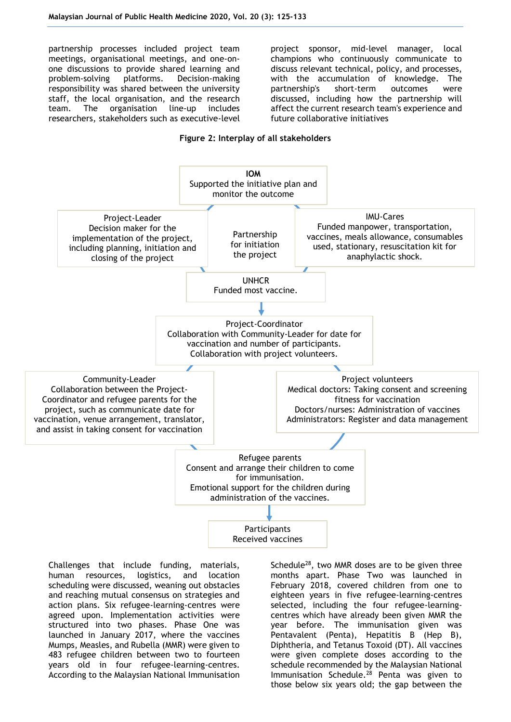partnership processes included project team meetings, organisational meetings, and one-onone discussions to provide shared learning and problem-solving platforms. Decision-making responsibility was shared between the university staff, the local organisation, and the research team. The organisation line-up includes researchers, stakeholders such as executive-level project sponsor, mid-level manager, local champions who continuously communicate to discuss relevant technical, policy, and processes, with the accumulation of knowledge. The partnership's short-term outcomes were discussed, including how the partnership will affect the current research team's experience and future collaborative initiatives

#### **Figure 2: Interplay of all stakeholders**



Challenges that include funding, materials, human resources, logistics, and location scheduling were discussed, weaning out obstacles and reaching mutual consensus on strategies and action plans. Six refugee-learning-centres were agreed upon. Implementation activities were structured into two phases. Phase One was launched in January 2017, where the vaccines Mumps, Measles, and Rubella (MMR) were given to 483 refugee children between two to fourteen years old in four refugee-learning-centres. According to the Malaysian National Immunisation

Schedule<sup>28</sup>, two MMR doses are to be given three months apart. Phase Two was launched in February 2018, covered children from one to eighteen years in five refugee-learning-centres selected, including the four refugee-learningcentres which have already been given MMR the year before. The immunisation given was Pentavalent (Penta), Hepatitis B (Hep B), Diphtheria, and Tetanus Toxoid (DT). All vaccines were given complete doses according to the schedule recommended by the Malaysian National Immunisation Schedule.<sup>28</sup> Penta was given to those below six years old; the gap between the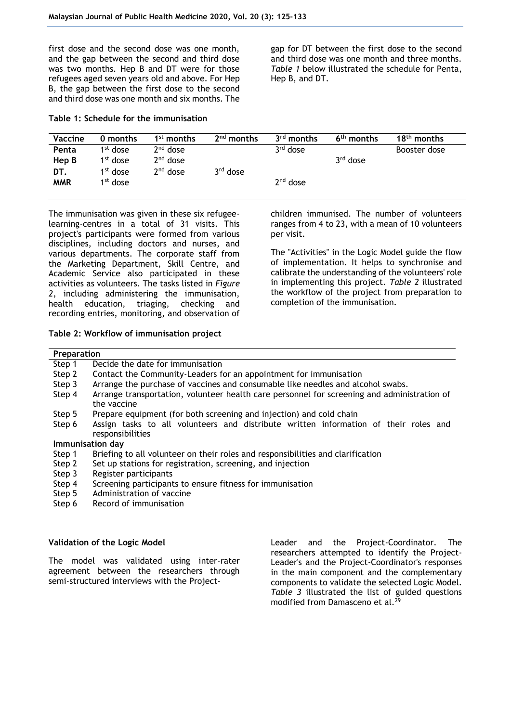first dose and the second dose was one month, and the gap between the second and third dose was two months. Hep B and DT were for those refugees aged seven years old and above. For Hep B, the gap between the first dose to the second and third dose was one month and six months. The

**Table 1: Schedule for the immunisation**

gap for DT between the first dose to the second and third dose was one month and three months. *Table 1* below illustrated the schedule for Penta, Hep B, and DT.

| <b>Vaccine</b> | 0 months             | 1 <sup>st</sup> months | 2 <sup>nd</sup> months | $3rd$ months | 6 <sup>th</sup> months | $18th$ months |
|----------------|----------------------|------------------------|------------------------|--------------|------------------------|---------------|
| Penta          | 1 <sup>st</sup> dose | $2nd$ dose             |                        | $3rd$ dose   |                        | Booster dose  |
| Hep B          | $1st$ dose           | $2nd$ dose             |                        |              | $3rd$ dose             |               |
| DT.            | 1 <sup>st</sup> dose | $2nd$ dose             | $3rd$ dose             |              |                        |               |
| <b>MMR</b>     | 1 <sup>st</sup> dose |                        |                        | $2nd$ dose   |                        |               |
|                |                      |                        |                        |              |                        |               |

The immunisation was given in these six refugeelearning-centres in a total of 31 visits. This project's participants were formed from various disciplines, including doctors and nurses, and various departments. The corporate staff from the Marketing Department, Skill Centre, and Academic Service also participated in these activities as volunteers. The tasks listed in *Figure 2*, including administering the immunisation, health education, triaging, checking and recording entries, monitoring, and observation of

**Table 2: Workflow of immunisation project**

children immunised. The number of volunteers ranges from 4 to 23, with a mean of 10 volunteers per visit.

The "Activities" in the Logic Model guide the flow of implementation. It helps to synchronise and calibrate the understanding of the volunteers' role in implementing this project. *Table 2* illustrated the workflow of the project from preparation to completion of the immunisation.

| Preparation      |                                                                                             |  |  |  |  |  |  |
|------------------|---------------------------------------------------------------------------------------------|--|--|--|--|--|--|
| Step 1           | Decide the date for immunisation                                                            |  |  |  |  |  |  |
| Step 2           | Contact the Community-Leaders for an appointment for immunisation                           |  |  |  |  |  |  |
| Step 3           | Arrange the purchase of vaccines and consumable like needles and alcohol swabs.             |  |  |  |  |  |  |
| Step 4           | Arrange transportation, volunteer health care personnel for screening and administration of |  |  |  |  |  |  |
|                  | the vaccine                                                                                 |  |  |  |  |  |  |
| Step 5           | Prepare equipment (for both screening and injection) and cold chain                         |  |  |  |  |  |  |
| Step 6           | Assign tasks to all volunteers and distribute written information of their roles and        |  |  |  |  |  |  |
|                  | responsibilities                                                                            |  |  |  |  |  |  |
| Immunisation day |                                                                                             |  |  |  |  |  |  |
| Step 1           | Briefing to all volunteer on their roles and responsibilities and clarification             |  |  |  |  |  |  |
| Step 2           | Set up stations for registration, screening, and injection                                  |  |  |  |  |  |  |
| Step 3           | Register participants                                                                       |  |  |  |  |  |  |
| Step 4           | Screening participants to ensure fitness for immunisation                                   |  |  |  |  |  |  |
| Step 5           | Administration of vaccine                                                                   |  |  |  |  |  |  |
| Step 6           | Record of immunisation                                                                      |  |  |  |  |  |  |

# **Validation of the Logic Model**

The model was validated using inter-rater agreement between the researchers through semi-structured interviews with the ProjectLeader and the Project-Coordinator. The researchers attempted to identify the Project-Leader's and the Project-Coordinator's responses in the main component and the complementary components to validate the selected Logic Model. *Table 3* illustrated the list of guided questions modified from Damasceno et al.<sup>29</sup>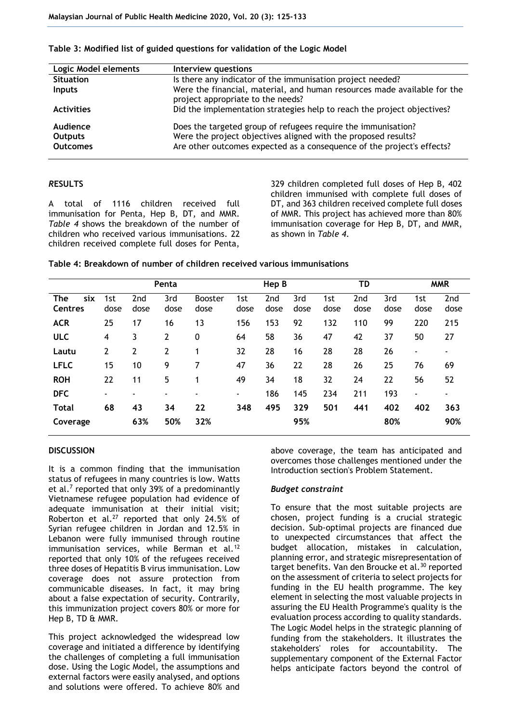| Logic Model elements                          | Interview questions                                                                                                                                                                                       |
|-----------------------------------------------|-----------------------------------------------------------------------------------------------------------------------------------------------------------------------------------------------------------|
| <b>Situation</b>                              | Is there any indicator of the immunisation project needed?                                                                                                                                                |
| <b>Inputs</b>                                 | Were the financial, material, and human resources made available for the<br>project appropriate to the needs?                                                                                             |
| <b>Activities</b>                             | Did the implementation strategies help to reach the project objectives?                                                                                                                                   |
| Audience<br><b>Outputs</b><br><b>Outcomes</b> | Does the targeted group of refugees require the immunisation?<br>Were the project objectives aligned with the proposed results?<br>Are other outcomes expected as a consequence of the project's effects? |

#### **Table 3: Modified list of guided questions for validation of the Logic Model**

# *R***ESULTS**

A total of 1116 children received full immunisation for Penta, Hep B, DT, and MMR. *Table 4* shows the breakdown of the number of children who received various immunisations. 22 children received complete full doses for Penta,

329 children completed full doses of Hep B, 402 children immunised with complete full doses of DT, and 363 children received complete full doses of MMR. This project has achieved more than 80% immunisation coverage for Hep B, DT, and MMR, as shown in *Table 4*.

### **Table 4: Breakdown of number of children received various immunisations**

|                              | Penta       |                          |                | Hep B                  |             |                         | TD          |             | <b>MMR</b>  |             |             |                          |
|------------------------------|-------------|--------------------------|----------------|------------------------|-------------|-------------------------|-------------|-------------|-------------|-------------|-------------|--------------------------|
| six<br>The<br><b>Centres</b> | 1st<br>dose | 2nd<br>dose              | 3rd<br>dose    | <b>Booster</b><br>dose | 1st<br>dose | 2 <sub>nd</sub><br>dose | 3rd<br>dose | 1st<br>dose | 2nd<br>dose | 3rd<br>dose | 1st<br>dose | 2nd<br>dose              |
| <b>ACR</b>                   | 25          | 17                       | 16             | 13                     | 156         | 153                     | 92          | 132         | 110         | 99          | 220         | 215                      |
| <b>ULC</b>                   | 4           | 3                        | $\overline{2}$ | 0                      | 64          | 58                      | 36          | 47          | 42          | 37          | 50          | 27                       |
| Lautu                        | 2           | 2                        | 2              | 1                      | 32          | 28                      | 16          | 28          | 28          | 26          | ٠           |                          |
| <b>LFLC</b>                  | 15          | 10                       | 9              | 7                      | 47          | 36                      | 22          | 28          | 26          | 25          | 76          | 69                       |
| <b>ROH</b>                   | 22          | 11                       | 5              | 1                      | 49          | 34                      | 18          | 32          | 24          | 22          | 56          | 52                       |
| <b>DFC</b>                   | ۰           | $\overline{\phantom{0}}$ | ۰              | ٠                      | ۰           | 186                     | 145         | 234         | 211         | 193         | ٠           | $\overline{\phantom{0}}$ |
| <b>Total</b>                 | 68          | 43                       | 34             | 22                     | 348         | 495                     | 329         | 501         | 441         | 402         | 402         | 363                      |
| Coverage                     |             | 63%                      | 50%            | 32%                    |             |                         | 95%         |             |             | 80%         |             | 90%                      |

#### **DISCUSSION**

It is a common finding that the immunisation status of refugees in many countries is low. Watts et al.<sup>7</sup> reported that only 39% of a predominantly Vietnamese refugee population had evidence of adequate immunisation at their initial visit; Roberton et al.<sup>27</sup> reported that only 24.5% of Syrian refugee children in Jordan and 12.5% in Lebanon were fully immunised through routine immunisation services, while Berman et al.<sup>12</sup> reported that only 10% of the refugees received three doses of Hepatitis B virus immunisation. Low coverage does not assure protection from communicable diseases. In fact, it may bring about a false expectation of security. Contrarily, this immunization project covers 80% or more for Hep B, TD & MMR.

This project acknowledged the widespread low coverage and initiated a difference by identifying the challenges of completing a full immunisation dose. Using the Logic Model, the assumptions and external factors were easily analysed, and options and solutions were offered. To achieve 80% and

above coverage, the team has anticipated and overcomes those challenges mentioned under the Introduction section's Problem Statement.

#### *Budget constraint*

To ensure that the most suitable projects are chosen, project funding is a crucial strategic decision. Sub-optimal projects are financed due to unexpected circumstances that affect the budget allocation, mistakes in calculation, planning error, and strategic misrepresentation of target benefits. Van den Broucke et al.<sup>30</sup> reported on the assessment of criteria to select projects for funding in the EU health programme. The key element in selecting the most valuable projects in assuring the EU Health Programme's quality is the evaluation process according to quality standards. The Logic Model helps in the strategic planning of funding from the stakeholders. It illustrates the stakeholders' roles for accountability. The supplementary component of the External Factor helps anticipate factors beyond the control of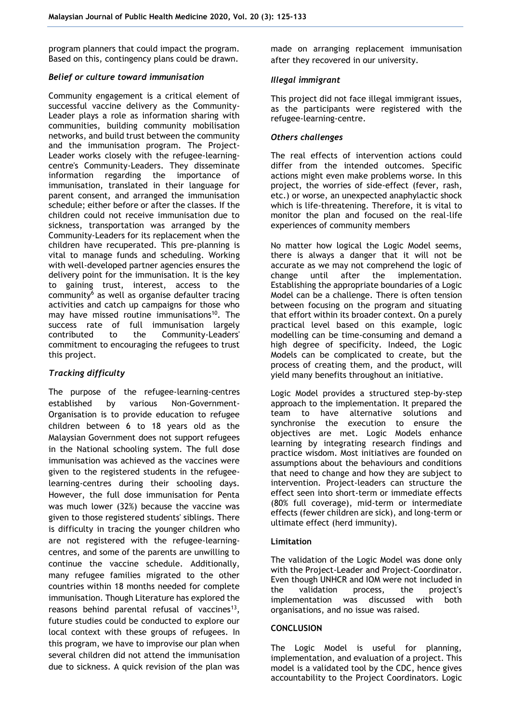program planners that could impact the program. Based on this, contingency plans could be drawn.

### *Belief or culture toward immunisation*

Community engagement is a critical element of successful vaccine delivery as the Community-Leader plays a role as information sharing with communities, building community mobilisation networks, and build trust between the community and the immunisation program. The Project-Leader works closely with the refugee-learningcentre's Community-Leaders. They disseminate information regarding the importance of immunisation, translated in their language for parent consent, and arranged the immunisation schedule; either before or after the classes. If the children could not receive immunisation due to sickness, transportation was arranged by the Community-Leaders for its replacement when the children have recuperated. This pre-planning is vital to manage funds and scheduling. Working with well-developed partner agencies ensures the delivery point for the immunisation. It is the key to gaining trust, interest, access to the community $6$  as well as organise defaulter tracing activities and catch up campaigns for those who may have missed routine immunisations<sup>10</sup>. The success rate of full immunisation largely contributed to the Community-Leaders' commitment to encouraging the refugees to trust this project.

# *Tracking difficulty*

The purpose of the refugee-learning-centres established by various Non-Government-Organisation is to provide education to refugee children between 6 to 18 years old as the Malaysian Government does not support refugees in the National schooling system. The full dose immunisation was achieved as the vaccines were given to the registered students in the refugeelearning-centres during their schooling days. However, the full dose immunisation for Penta was much lower (32%) because the vaccine was given to those registered students' siblings. There is difficulty in tracing the younger children who are not registered with the refugee-learningcentres, and some of the parents are unwilling to continue the vaccine schedule. Additionally, many refugee families migrated to the other countries within 18 months needed for complete immunisation. Though Literature has explored the reasons behind parental refusal of vaccines $^{13}$ , future studies could be conducted to explore our local context with these groups of refugees. In this program, we have to improvise our plan when several children did not attend the immunisation due to sickness. A quick revision of the plan was

made on arranging replacement immunisation after they recovered in our university.

# *Illegal immigrant*

This project did not face illegal immigrant issues, as the participants were registered with the refugee-learning-centre.

# *Others challenges*

The real effects of intervention actions could differ from the intended outcomes. Specific actions might even make problems worse. In this project, the worries of side-effect (fever, rash, etc.) or worse, an unexpected anaphylactic shock which is life-threatening. Therefore, it is vital to monitor the plan and focused on the real-life experiences of community members

No matter how logical the Logic Model seems, there is always a danger that it will not be accurate as we may not comprehend the logic of change until after the implementation. Establishing the appropriate boundaries of a Logic Model can be a challenge. There is often tension between focusing on the program and situating that effort within its broader context. On a purely practical level based on this example, logic modelling can be time-consuming and demand a high degree of specificity. Indeed, the Logic Models can be complicated to create, but the process of creating them, and the product, will yield many benefits throughout an initiative.

Logic Model provides a structured step-by-step approach to the implementation. It prepared the team to have alternative solutions and synchronise the execution to ensure the objectives are met. Logic Models enhance learning by integrating research findings and practice wisdom. Most initiatives are founded on assumptions about the behaviours and conditions that need to change and how they are subject to intervention. Project-leaders can structure the effect seen into short-term or immediate effects (80% full coverage), mid-term or intermediate effects (fewer children are sick), and long-term or ultimate effect (herd immunity).

# **Limitation**

The validation of the Logic Model was done only with the Project-Leader and Project-Coordinator. Even though UNHCR and IOM were not included in the validation process, the project's implementation was discussed with both organisations, and no issue was raised.

# **CONCLUSION**

The Logic Model is useful for planning, implementation, and evaluation of a project. This model is a validated tool by the CDC, hence gives accountability to the Project Coordinators. Logic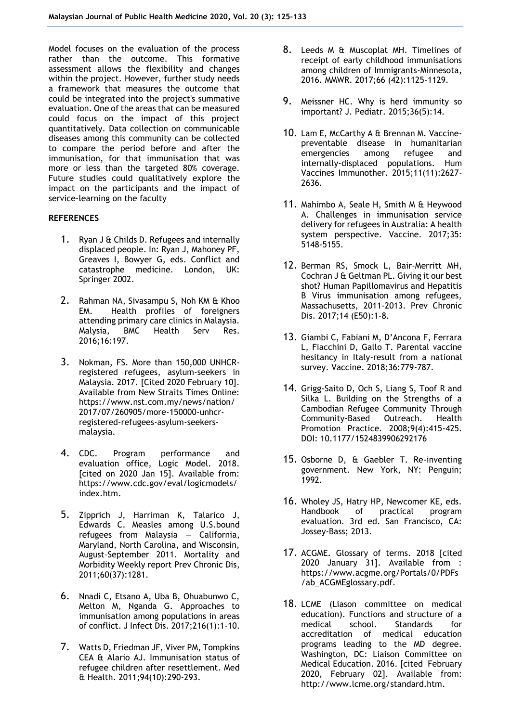Model focuses on the evaluation of the process rather than the outcome. This formative assessment allows the flexibility and changes within the project. However, further study needs a framework that measures the outcome that could be integrated into the project's summative evaluation. One of the areas that can be measured could focus on the impact of this project quantitatively. Data collection on communicable diseases among this community can be collected to compare the period before and after the immunisation, for that immunisation that was more or less than the targeted 80% coverage. Future studies could qualitatively explore the impact on the participants and the impact of service-learning on the faculty

### **REFERENCES**

- 1. Ryan J & Childs D. Refugees and internally displaced people. In: Ryan J, Mahoney PF, Greaves I, Bowyer G, eds. Conflict and catastrophe medicine. London, UK: Springer 2002.
- 2. Rahman NA, Sivasampu S, Noh KM & Khoo EM. Health profiles of foreigners attending primary care clinics in Malaysia. Malysia, BMC Health Serv Res. 2016;16:197.
- 3. Nokman, FS. More than 150,000 UNHCRregistered refugees, asylum-seekers in Malaysia. 2017. [Cited 2020 February 10]. Available from New Straits Times Online: [https://www.nst.com.my/news/nation/](https://www.nst.com.my/news/nation/2017/07/260905/more-150000-unhcr-registered-refugees-asylum-seekers-malaysia) [2017/07/260905/more-150000-unhcr](https://www.nst.com.my/news/nation/2017/07/260905/more-150000-unhcr-registered-refugees-asylum-seekers-malaysia)[registered-refugees-asylum-seekers](https://www.nst.com.my/news/nation/2017/07/260905/more-150000-unhcr-registered-refugees-asylum-seekers-malaysia)[malaysia.](https://www.nst.com.my/news/nation/2017/07/260905/more-150000-unhcr-registered-refugees-asylum-seekers-malaysia)
- 4. CDC. Program performance and evaluation office, Logic Model. 2018. [cited on 2020 Jan 15]. Available from: [https://www.cdc.gov/eval/logicmodels/](https://www.cdc.gov/eval/logicmodels/index.htm) [index.htm.](https://www.cdc.gov/eval/logicmodels/index.htm)
- 5. Zipprich J, Harriman K, Talarico J, Edwards C. Measles among U.S.bound refugees from Malaysia — California, Maryland, North Carolina, and Wisconsin, August–September 2011. Mortality and Morbidity Weekly report Prev Chronic Dis, 2011;60(37):1281.
- 6. Nnadi C, Etsano A, Uba B, Ohuabunwo C, Melton M, Nganda G. Approaches to immunisation among populations in areas of conflict. J Infect Dis. 2017;216(1):1-10.
- 7. Watts D, Friedman JF, Viver PM, Tompkins CEA & Alario AJ. Immunisation status of refugee children after resettlement. Med & Health. 2011;94(10):290-293.
- 8. Leeds M & Muscoplat MH. Timelines of receipt of early childhood immunisations among children of Immigrants-Minnesota, 2016. MMWR. 2017;66 (42):1125-1129.
- 9. Meissner HC. Why is herd immunity so important? J. Pediatr. 2015;36(5):14.
- 10. Lam E, McCarthy A & Brennan M. Vaccinepreventable disease in humanitarian emergencies among refugee and internally-displaced populations. Hum Vaccines Immunother. 2015;11(11):2627- 2636.
- 11. Mahimbo A, Seale H, Smith M & Heywood A. Challenges in immunisation service delivery for refugees in Australia: A health system perspective. Vaccine. 2017;35: 5148-5155.
- 12. Berman RS, Smock L, Bair-Merritt MH, Cochran J & Geltman PL. Giving it our best shot? Human Papillomavirus and Hepatitis B Virus immunisation among refugees, Massachusetts, 2011-2013. Prev Chronic Dis. 2017;14 (E50):1-8.
- 13. Giambi C, Fabiani M, D'Ancona F, Ferrara L, Fiacchini D, Gallo T. Parental vaccine hesitancy in Italy-result from a national survey. Vaccine. 2018;36:779-787.
- 14. Grigg-Saito D, Och S, Liang S, Toof R and Silka L. Building on the Strengths of a Cambodian Refugee Community Through Community-Based Outreach. Health Promotion Practice. 2008;9(4):415-425. DOI: 10.1177/1524839906292176
- 15. Osborne D, & Gaebler T. Re-inventing government. New York, NY: Penguin; 1992.
- 16. Wholey JS, Hatry HP, Newcomer KE, eds. Handbook of practical program evaluation. 3rd ed. San Francisco, CA: Jossey-Bass; 2013.
- 17. ACGME. Glossary of terms. 2018 [cited 2020 January 31]. Available from : [https://www.acgme.org/Portals/0/PDFs](https://www.acgme.org/Portals/0/PDFs/ab_ACGMEglossary.pdf) [/ab\\_ACGMEglossary.pdf.](https://www.acgme.org/Portals/0/PDFs/ab_ACGMEglossary.pdf)
- 18. LCME (Liason committee on medical education). Functions and structure of a medical school. Standards for accreditation of medical education programs leading to the MD degree. Washington, DC: Liaison Committee on Medical Education. 2016. [cited February 2020, February 02]. Available from: [http://www.lcme.org/standard.htm.](http://www.lcme.org/standard.htm)